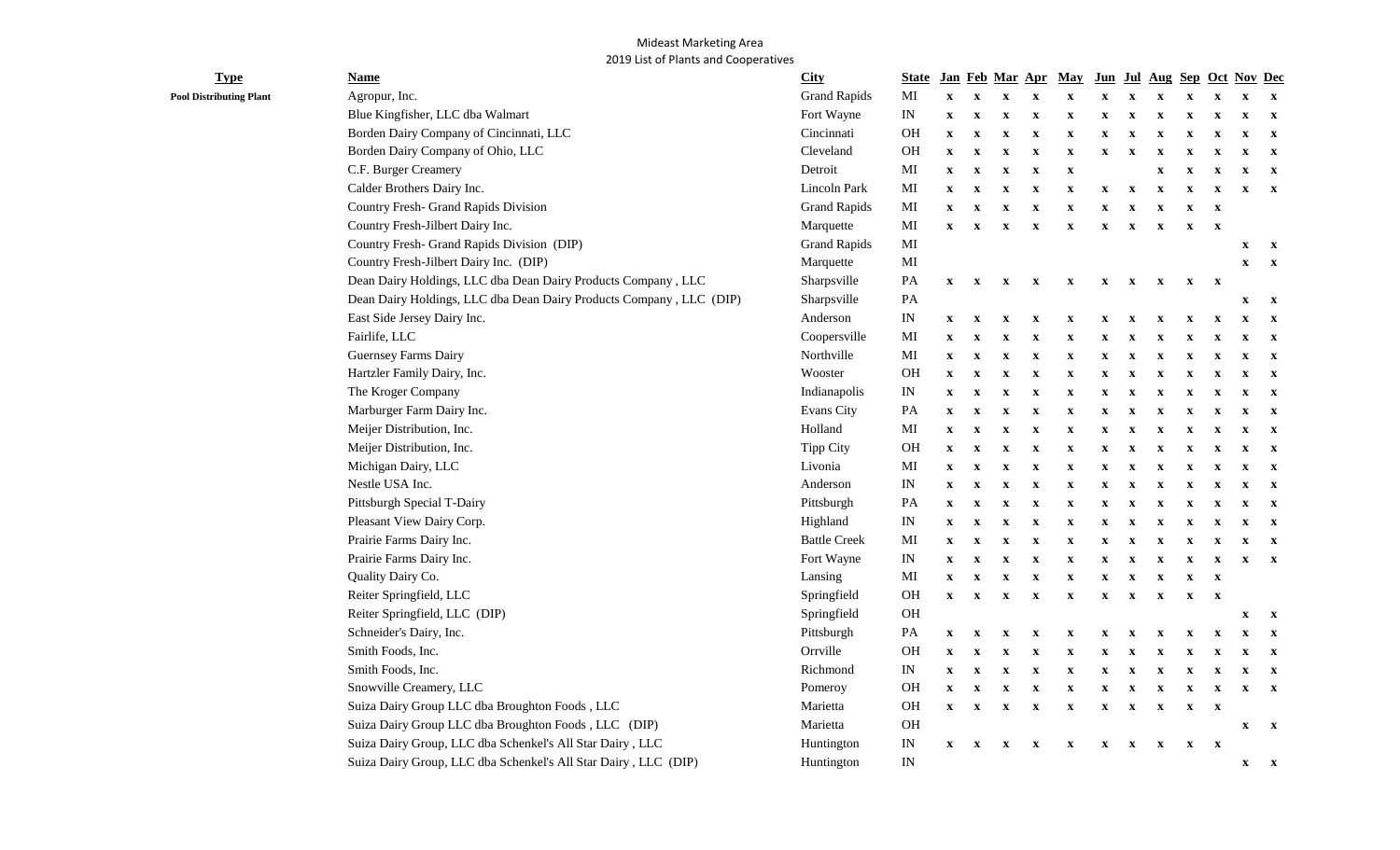## Mideast Marketing Area 2019 List of Plants and Cooperatives

| <b>Type</b>                    | <b>Name</b>                                                         | <b>City</b>         | <b>State</b>               |                           |                           |                           |                           | <u>Jan Feb Mar Apr May</u> |              |                           |                           |                           |                           | Jun Jul Aug Sep Oct Nov Dec |              |
|--------------------------------|---------------------------------------------------------------------|---------------------|----------------------------|---------------------------|---------------------------|---------------------------|---------------------------|----------------------------|--------------|---------------------------|---------------------------|---------------------------|---------------------------|-----------------------------|--------------|
| <b>Pool Distributing Plant</b> | Agropur, Inc.                                                       | <b>Grand Rapids</b> | МI                         | $\mathbf X$               | $\mathbf{x}$              | $\mathbf X$               | $\mathbf X$               | $\mathbf X$                | $\mathbf x$  | $\mathbf X$               | $\mathbf x$               | $\mathbf X$               | $\mathbf X$               | $\mathbf X$                 | $\mathbf{X}$ |
|                                | Blue Kingfisher, LLC dba Walmart                                    | Fort Wayne          | $\ensuremath{\text{IN}}$   | $\boldsymbol{\mathrm{X}}$ | $\mathbf X$               | $\mathbf X$               | $\mathbf X$               | $\mathbf X$                | $\mathbf x$  | $\mathbf x$               | $\boldsymbol{\mathrm{X}}$ | $\boldsymbol{\mathrm{X}}$ | $\mathbf x$               | $\mathbf X$                 | $\mathbf{X}$ |
|                                | Borden Dairy Company of Cincinnati, LLC                             | Cincinnati          | OH                         | $\mathbf X$               | $\mathbf X$               | $\mathbf X$               | $\boldsymbol{\mathrm{X}}$ | $\mathbf X$                | $\mathbf x$  | $\mathbf x$               | X                         | $\mathbf X$               | $\mathbf x$               | $\mathbf X$                 | $\mathbf{X}$ |
|                                | Borden Dairy Company of Ohio, LLC                                   | Cleveland           | OH                         | $\boldsymbol{\mathrm{X}}$ | $\mathbf X$               | $\mathbf X$               | $\mathbf X$               | $\mathbf X$                | $\mathbf x$  | $\mathbf x$               | $\boldsymbol{\mathrm{X}}$ | $\mathbf X$               | $\mathbf x$               | $\mathbf X$                 | $\mathbf{x}$ |
|                                | C.F. Burger Creamery                                                | Detroit             | $\mathbf{M}\mathbf{I}$     | $\boldsymbol{\mathrm{X}}$ | $\mathbf X$               | $\mathbf X$               | $\mathbf X$               | $\mathbf X$                |              |                           | $\mathbf X$               | $\mathbf X$               | $\mathbf X$               | $\mathbf X$                 | $\mathbf{x}$ |
|                                | Calder Brothers Dairy Inc.                                          | Lincoln Park        | $\mathbf{M}$               | $\mathbf{x}$              | $\boldsymbol{\mathrm{X}}$ | $\mathbf X$               | $\mathbf{x}$              | $\mathbf X$                | $\mathbf X$  | $\mathbf X$               | $\mathbf X$               | $\boldsymbol{\mathrm{X}}$ | $\boldsymbol{\mathrm{X}}$ | $\mathbf X$                 | $\mathbf{X}$ |
|                                | Country Fresh- Grand Rapids Division                                | <b>Grand Rapids</b> | $\mathbf{M}$               | $\mathbf{x}$              | $\boldsymbol{\mathrm{X}}$ | $\mathbf X$               | $\mathbf X$               | $\mathbf X$                | $\mathbf X$  | $\boldsymbol{\mathrm{x}}$ | $\mathbf X$               | $\mathbf X$               | $\mathbf{x}$              |                             |              |
|                                | Country Fresh-Jilbert Dairy Inc.                                    | Marquette           | $\mathbf{M}\mathbf{I}$     | $\mathbf{x}$              | $\mathbf X$               | $\mathbf X$               | $\mathbf X$               | $\mathbf X$                | $\mathbf{x}$ | $\boldsymbol{\mathrm{x}}$ | $\boldsymbol{\mathrm{X}}$ | $\mathbf X$               | $\mathbf{x}$              |                             |              |
|                                | Country Fresh- Grand Rapids Division (DIP)                          | <b>Grand Rapids</b> | $\mathbf{M}\mathbf{I}$     |                           |                           |                           |                           |                            |              |                           |                           |                           |                           | $\mathbf X$                 | $\mathbf{X}$ |
|                                | Country Fresh-Jilbert Dairy Inc. (DIP)                              | Marquette           | MI                         |                           |                           |                           |                           |                            |              |                           |                           |                           |                           | $\mathbf x$                 | $\mathbf{x}$ |
|                                | Dean Dairy Holdings, LLC dba Dean Dairy Products Company, LLC       | Sharpsville         | PA                         | $\boldsymbol{\mathrm{X}}$ | $\boldsymbol{\mathrm{X}}$ | $\boldsymbol{\mathrm{X}}$ | $\mathbf{x}$              | $\mathbf X$                | $\mathbf{x}$ | $\mathbf{x}$              | $\mathbf X$               | $\mathbf X$               | $\mathbf{x}$              |                             |              |
|                                | Dean Dairy Holdings, LLC dba Dean Dairy Products Company, LLC (DIP) | Sharpsville         | PA                         |                           |                           |                           |                           |                            |              |                           |                           |                           |                           | $\mathbf x$                 | $\mathbf{x}$ |
|                                | East Side Jersey Dairy Inc.                                         | Anderson            | $\mathop{\rm IN}\nolimits$ | $\mathbf x$               | $\mathbf{x}$              | $\mathbf X$               | $\boldsymbol{\mathrm{X}}$ | $\boldsymbol{\mathrm{X}}$  | $\mathbf x$  |                           | X                         | $\mathbf X$               | $\boldsymbol{\mathrm{X}}$ | $\mathbf x$                 | $\mathbf{x}$ |
|                                | Fairlife, LLC                                                       | Coopersville        | $\mathbf{M}\mathbf{I}$     | $\mathbf{x}$              | $\mathbf X$               | $\mathbf X$               | $\mathbf X$               | $\mathbf X$                | $\mathbf x$  | $\mathbf X$               | $\boldsymbol{\mathrm{X}}$ | $\mathbf X$               | $\mathbf X$               | X                           | $\mathbf{x}$ |
|                                | Guernsey Farms Dairy                                                | Northville          | $\mathbf{M}\mathbf{I}$     | $\mathbf{x}$              | $\boldsymbol{\mathrm{X}}$ | $\mathbf X$               | $\boldsymbol{\mathrm{X}}$ | $\mathbf X$                | $\mathbf X$  | $\mathbf{x}$              | $\mathbf X$               | $\boldsymbol{\mathrm{X}}$ | $\mathbf X$               | X                           | $\mathbf{x}$ |
|                                | Hartzler Family Dairy, Inc.                                         | Wooster             | OH                         | $\mathbf{x}$              | $\mathbf X$               | $\mathbf X$               | $\boldsymbol{\mathrm{X}}$ | $\boldsymbol{\mathrm{X}}$  | $\mathbf X$  | $\mathbf X$               | $\mathbf X$               | $\mathbf X$               | $\mathbf X$               | $\mathbf X$                 | $\mathbf{x}$ |
|                                | The Kroger Company                                                  | Indianapolis        | $\ensuremath{\text{IN}}$   | $\mathbf{x}$              | $\mathbf X$               | $\mathbf X$               | $\boldsymbol{\mathrm{X}}$ | $\boldsymbol{\mathrm{X}}$  | $\mathbf X$  | $\mathbf X$               | $\mathbf X$               | $\mathbf X$               | $\mathbf X$               | X                           | $\mathbf{x}$ |
|                                | Marburger Farm Dairy Inc.                                           | Evans City          | $\mathbf{PA}$              | $\mathbf X$               | $\mathbf X$               | $\mathbf X$               | $\boldsymbol{\mathrm{X}}$ | $\boldsymbol{\mathrm{X}}$  | $\mathbf x$  | $\mathbf X$               | $\boldsymbol{\mathrm{X}}$ | $\boldsymbol{\mathrm{X}}$ | $\mathbf X$               | X                           | $\mathbf{x}$ |
|                                | Meijer Distribution, Inc.                                           | Holland             | $\mathbf{M}\mathbf{I}$     | $\mathbf X$               | $\mathbf X$               | $\mathbf X$               | $\mathbf X$               | $\boldsymbol{\mathrm{X}}$  | $\mathbf X$  | $\mathbf X$               | $\boldsymbol{\mathrm{X}}$ | $\mathbf X$               | $\mathbf X$               | $\mathbf X$                 | $\mathbf{x}$ |
|                                | Meijer Distribution, Inc.                                           | Tipp City           | OH                         | $\mathbf X$               | $\mathbf X$               | $\mathbf X$               | $\mathbf X$               | $\boldsymbol{\mathrm{X}}$  | $\mathbf X$  | $\mathbf X$               | $\boldsymbol{\mathrm{X}}$ | $\mathbf X$               | $\boldsymbol{\mathrm{X}}$ | $\mathbf X$                 | $\mathbf{x}$ |
|                                | Michigan Dairy, LLC                                                 | Livonia             | $\mathbf{M}$               | $\boldsymbol{\mathrm{X}}$ | $\mathbf X$               | $\mathbf X$               | $\mathbf X$               | $\mathbf X$                | $\mathbf X$  |                           | $\boldsymbol{\mathrm{X}}$ | $\mathbf X$               | $\mathbf X$               | $\mathbf X$                 | $\mathbf{x}$ |
|                                | Nestle USA Inc.                                                     | Anderson            | $\ensuremath{\text{IN}}$   | $\boldsymbol{\mathrm{X}}$ | $\mathbf X$               | $\mathbf X$               | $\mathbf X$               | $\mathbf X$                | $\mathbf X$  | $\mathbf X$               | $\boldsymbol{\mathrm{X}}$ | $\mathbf X$               | $\mathbf x$               | $\mathbf X$                 | $\mathbf{x}$ |
|                                | Pittsburgh Special T-Dairy                                          | Pittsburgh          | PA                         | $\boldsymbol{\mathrm{X}}$ | $\mathbf X$               | $\mathbf X$               | $\mathbf X$               | $\mathbf X$                | $\mathbf X$  | $\mathbf X$               | $\mathbf x$               | $\mathbf X$               | $\mathbf X$               | $\mathbf X$                 | $\mathbf{x}$ |
|                                | Pleasant View Dairy Corp.                                           | Highland            | $\ensuremath{\text{IN}}$   | $\boldsymbol{\mathrm{X}}$ | $\mathbf X$               | $\mathbf X$               | $\mathbf X$               | $\mathbf X$                | $\mathbf X$  | X                         | $\mathbf X$               | $\mathbf X$               | $\mathbf X$               | $\mathbf X$                 | $\mathbf{x}$ |
|                                | Prairie Farms Dairy Inc.                                            | <b>Battle Creek</b> | $\mathbf{M}$               | $\mathbf X$               | $\mathbf X$               | $\mathbf X$               | $\mathbf X$               | $\mathbf X$                | $\mathbf X$  |                           | $\boldsymbol{\mathrm{X}}$ | $\mathbf X$               | $\mathbf x$               | $\mathbf x$                 | $\mathbf{x}$ |
|                                | Prairie Farms Dairy Inc.                                            | Fort Wayne          | $\ensuremath{\text{IN}}$   | $\boldsymbol{\mathrm{X}}$ | $\mathbf X$               | $\mathbf X$               | $\mathbf X$               | $\mathbf X$                | $\mathbf x$  | X                         | X                         | $\mathbf X$               | $\mathbf X$               | $\mathbf x$                 | $\mathbf{x}$ |
|                                | Quality Dairy Co.                                                   | Lansing             | $\mathbf{M}\mathbf{I}$     | $\boldsymbol{\mathrm{X}}$ | $\mathbf X$               | $\mathbf X$               | $\mathbf X$               | $\mathbf X$                | $\mathbf X$  | $\mathbf x$               | $\mathbf X$               | $\mathbf X$               | $\mathbf{x}$              |                             |              |
|                                | Reiter Springfield, LLC                                             | Springfield         | OH                         | $\mathbf{x}$              | $\mathbf x$               | $\mathbf X$               | $\mathbf X$               | $\mathbf X$                | $\mathbf x$  | $\mathbf{x}$              | $\boldsymbol{\mathrm{X}}$ | $\mathbf X$               | $\mathbf X$               |                             |              |
|                                | Reiter Springfield, LLC (DIP)                                       | Springfield         | $\rm OH$                   |                           |                           |                           |                           |                            |              |                           |                           |                           |                           | $\mathbf x$                 | $\mathbf{x}$ |
|                                | Schneider's Dairy, Inc.                                             | Pittsburgh          | $\mathbf{PA}$              | $\boldsymbol{\mathrm{X}}$ | $\boldsymbol{\mathrm{X}}$ | $\mathbf X$               | $\mathbf X$               | $\boldsymbol{\mathrm{X}}$  | X            |                           | X                         | $\boldsymbol{\mathrm{X}}$ | $\mathbf X$               | X                           | $\mathbf{x}$ |
|                                | Smith Foods, Inc.                                                   | Orrville            | OH                         | $\mathbf X$               | $\boldsymbol{\mathrm{X}}$ | $\mathbf X$               | $\boldsymbol{\mathrm{X}}$ | $\mathbf X$                | X            | $\mathbf x$               | X                         | $\mathbf x$               | $\mathbf X$               | X                           | $\mathbf{x}$ |
|                                | Smith Foods, Inc.                                                   | Richmond            | $\ensuremath{\text{IN}}$   | $\boldsymbol{\mathrm{X}}$ | $\mathbf X$               | $\mathbf X$               | $\boldsymbol{\mathrm{X}}$ | $\mathbf X$                | $\mathbf X$  | $\mathbf X$               | $\boldsymbol{\mathrm{X}}$ | $\boldsymbol{\mathrm{X}}$ | $\mathbf x$               | $\mathbf X$                 | $\mathbf{x}$ |
|                                | Snowville Creamery, LLC                                             | Pomeroy             | OH                         | $\boldsymbol{\mathrm{X}}$ | $\mathbf X$               | $\mathbf X$               | $\boldsymbol{\mathrm{X}}$ | $\mathbf X$                | $\mathbf x$  | $\mathbf x$               | X                         | $\mathbf X$               | $\mathbf X$               | X                           | $\mathbf{X}$ |
|                                | Suiza Dairy Group LLC dba Broughton Foods, LLC                      | Marietta            | OH                         | $\boldsymbol{\mathrm{X}}$ | $\mathbf X$               | $\mathbf X$               | $\mathbf X$               | $\boldsymbol{\mathrm{X}}$  | $\mathbf X$  | $\boldsymbol{\mathrm{x}}$ | $\boldsymbol{\mathrm{X}}$ | $\mathbf X$               | $\mathbf{X}$              |                             |              |
|                                | Suiza Dairy Group LLC dba Broughton Foods, LLC (DIP)                | Marietta            | OH                         |                           |                           |                           |                           |                            |              |                           |                           |                           |                           | $\mathbf X$                 | $\mathbf{x}$ |
|                                | Suiza Dairy Group, LLC dba Schenkel's All Star Dairy, LLC           | Huntington          | $\ensuremath{\text{IN}}$   | $\mathbf{x}$              | $\mathbf{x}$              | $\mathbf X$               | $\mathbf X$               | $\mathbf X$                | $\mathbf X$  | $\boldsymbol{\mathrm{x}}$ | $\boldsymbol{\mathrm{X}}$ | $\mathbf X$               | $\mathbf{x}$              |                             |              |
|                                | Suiza Dairy Group, LLC dba Schenkel's All Star Dairy, LLC (DIP)     | Huntington          | $\ensuremath{\text{IN}}$   |                           |                           |                           |                           |                            |              |                           |                           |                           |                           | $\mathbf x$                 | $\mathbf{x}$ |
|                                |                                                                     |                     |                            |                           |                           |                           |                           |                            |              |                           |                           |                           |                           |                             |              |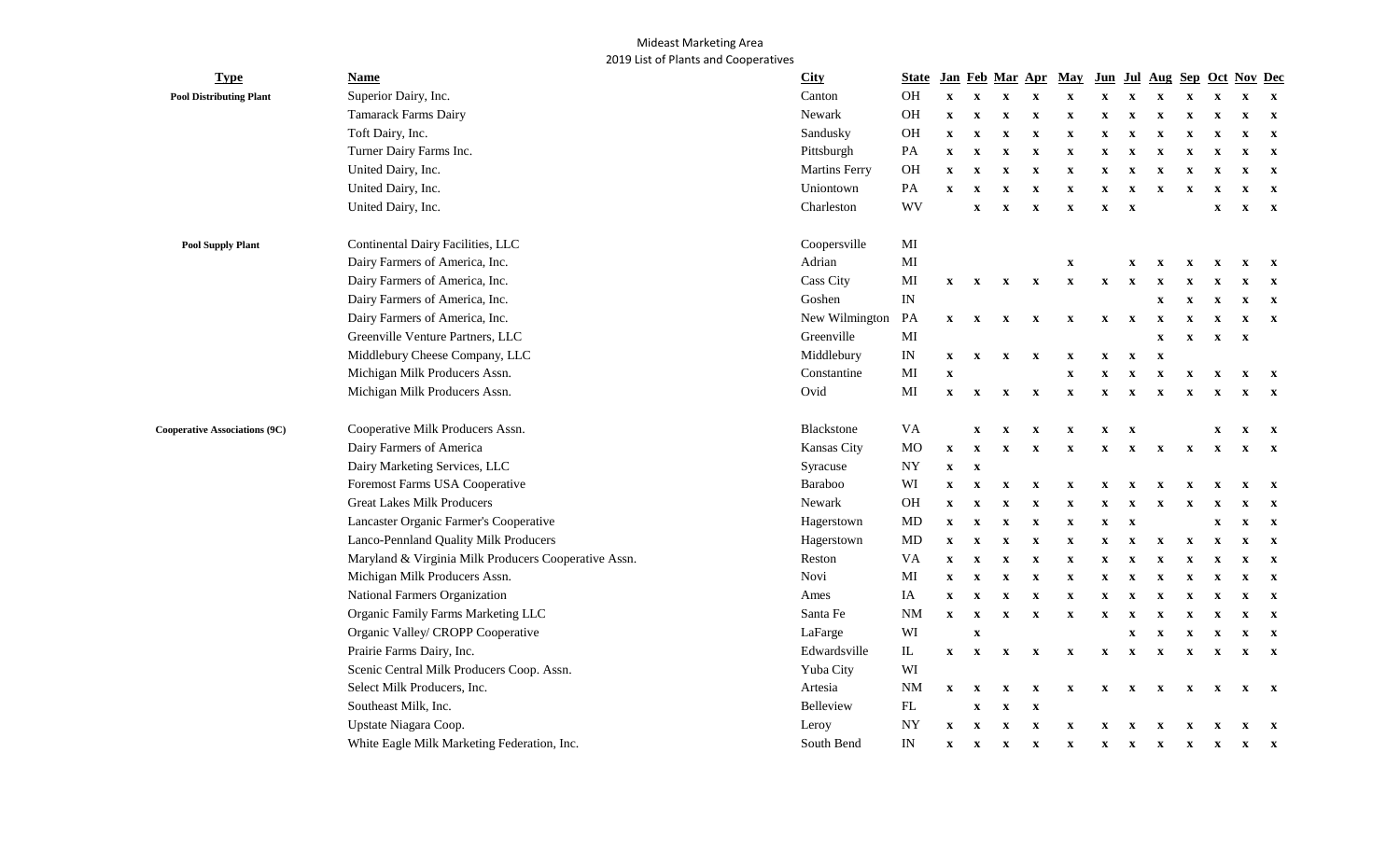## Mideast Marketing Area 2019 List of Plants and Cooperatives

| <b>Type</b>                                                                                        | <b>Name</b>                                          | <b>City</b>          | <b>State</b>             |              |                           |                           | Jan Feb Mar Apr           | May                       | Jun Jul      |                           |              |                           |                           | Aug Sep Oct Nov Dec |              |
|----------------------------------------------------------------------------------------------------|------------------------------------------------------|----------------------|--------------------------|--------------|---------------------------|---------------------------|---------------------------|---------------------------|--------------|---------------------------|--------------|---------------------------|---------------------------|---------------------|--------------|
| <b>Pool Distributing Plant</b><br><b>Pool Supply Plant</b><br><b>Cooperative Associations (9C)</b> | Superior Dairy, Inc.                                 | Canton               | <b>OH</b>                | $\mathbf{x}$ | $\mathbf x$               | $\mathbf X$               | $\mathbf X$               | $\mathbf x$               | $\mathbf x$  |                           |              |                           | X                         | $\mathbf x$         | $\mathbf{x}$ |
|                                                                                                    | <b>Tamarack Farms Dairy</b>                          | Newark               | OH                       | $\mathbf{x}$ | $\mathbf x$               | $\mathbf X$               | $\mathbf X$               | $\mathbf X$               | $\mathbf X$  | $\mathbf x$               |              | $\mathbf x$               | $\mathbf X$               | $\mathbf X$         | $\mathbf{x}$ |
|                                                                                                    | Toft Dairy, Inc.                                     | Sandusky             | OH                       | $\mathbf{x}$ | $\mathbf x$               | $\mathbf X$               | $\mathbf X$               | $\mathbf X$               | $\mathbf X$  | X                         |              | X                         | $\mathbf X$               | $\mathbf x$         | $\mathbf{x}$ |
|                                                                                                    | Turner Dairy Farms Inc.                              | Pittsburgh           | PA                       | $\mathbf X$  | $\mathbf x$               | $\mathbf X$               | $\mathbf X$               | $\mathbf X$               | X            |                           |              |                           | $\boldsymbol{\mathrm{X}}$ | $\mathbf{x}$        | $\mathbf{x}$ |
|                                                                                                    | United Dairy, Inc.                                   | <b>Martins Ferry</b> | OH                       | $\mathbf X$  | $\mathbf x$               | $\mathbf x$               | $\mathbf X$               | $\mathbf X$               | $\mathbf X$  | X                         |              |                           | $\mathbf X$               | $\mathbf X$         | $\mathbf{x}$ |
|                                                                                                    | United Dairy, Inc.                                   | Uniontown            | PA                       | $\mathbf{x}$ | $\mathbf x$               | $\mathbf x$               | $\mathbf X$               | $\mathbf X$               | X            | X                         |              | x                         | X                         | $\mathbf x$         | $\mathbf{x}$ |
|                                                                                                    | United Dairy, Inc.                                   | Charleston           | <b>WV</b>                |              | $\mathbf x$               | $\mathbf X$               | $\mathbf X$               | $\mathbf x$               | $\mathbf X$  | $\mathbf X$               |              |                           | $\mathbf X$               | $\mathbf{x}$        | $\mathbf{x}$ |
|                                                                                                    | Continental Dairy Facilities, LLC                    | Coopersville         | MI                       |              |                           |                           |                           |                           |              |                           |              |                           |                           |                     |              |
|                                                                                                    | Dairy Farmers of America, Inc.                       | Adrian               | MI                       |              |                           |                           |                           | $\boldsymbol{\mathrm{X}}$ |              | $\mathbf X$               | $\mathbf x$  | $\mathbf{x}$              | $\mathbf X$               | $\mathbf X$         | $\mathbf{x}$ |
|                                                                                                    | Dairy Farmers of America, Inc.                       | Cass City            | MI                       | $\mathbf{X}$ | $\mathbf{x}$              | $\mathbf{X}$              | $\mathbf{x}$              | $\boldsymbol{\mathrm{X}}$ | $\mathbf X$  | $\mathbf x$               |              |                           |                           | X                   | $\mathbf{x}$ |
|                                                                                                    | Dairy Farmers of America, Inc.                       | Goshen               | $\ensuremath{\text{IN}}$ |              |                           |                           |                           |                           |              |                           |              |                           | $\mathbf x$               | $\mathbf x$         | $\mathbf{x}$ |
|                                                                                                    | Dairy Farmers of America, Inc.                       | New Wilmington       | PA                       | $\mathbf{X}$ | $\mathbf{x}$              | $\boldsymbol{\mathrm{X}}$ | $\mathbf{x}$              | $\mathbf x$               | $\mathbf x$  | $\mathbf X$               | x            |                           | $\boldsymbol{\mathrm{X}}$ | $\mathbf X$         | $\mathbf{x}$ |
|                                                                                                    | Greenville Venture Partners, LLC                     | Greenville           | MI                       |              |                           |                           |                           |                           |              |                           | $\mathbf{x}$ | $\mathbf x$               | $\mathbf X$               | $\mathbf X$         |              |
|                                                                                                    | Middlebury Cheese Company, LLC                       | Middlebury           | IN                       | $\mathbf{x}$ | $\mathbf{x}$              | $\boldsymbol{\mathrm{X}}$ | $\mathbf{x}$              | $\mathbf{x}$              | $\mathbf X$  | $\mathbf{x}$              | $\mathbf{x}$ |                           |                           |                     |              |
|                                                                                                    | Michigan Milk Producers Assn.                        | Constantine          | MI                       | $\mathbf x$  |                           |                           |                           | $\boldsymbol{\mathrm{X}}$ | $\mathbf X$  | $\mathbf X$               | $\mathbf x$  | $\mathbf{x}$              | $\boldsymbol{\mathrm{X}}$ | $\mathbf{x}$        | $\mathbf{x}$ |
|                                                                                                    | Michigan Milk Producers Assn.                        | Ovid                 | MI                       | $\mathbf{x}$ | $\boldsymbol{\mathrm{X}}$ | $\boldsymbol{\mathrm{X}}$ | $\boldsymbol{\mathrm{X}}$ | $\mathbf X$               | $\mathbf X$  | $\mathbf{x}$              | X            | $\mathbf{x}$              | $\mathbf{x}$              | $\mathbf X$         | $\mathbf{x}$ |
|                                                                                                    | Cooperative Milk Producers Assn.                     | <b>Blackstone</b>    | VA                       |              | $\mathbf x$               | $\mathbf X$               | $\mathbf X$               | x                         | $\mathbf{x}$ | $\mathbf X$               |              |                           | X                         | $\mathbf{x}$        | $\mathbf{x}$ |
|                                                                                                    | Dairy Farmers of America                             | Kansas City          | <b>MO</b>                | $\mathbf{x}$ | $\boldsymbol{\mathrm{X}}$ | $\mathbf X$               | $\mathbf X$               | $\mathbf X$               | $\mathbf X$  | $\mathbf{x}$              | $\mathbf x$  | $\mathbf{x}$              | $\mathbf{x}$              | $\mathbf{x}$        | $\mathbf{x}$ |
|                                                                                                    | Dairy Marketing Services, LLC                        | Syracuse             | <b>NY</b>                | $\mathbf{x}$ | $\mathbf x$               |                           |                           |                           |              |                           |              |                           |                           |                     |              |
|                                                                                                    | Foremost Farms USA Cooperative                       | Baraboo              | WI                       | $\mathbf{x}$ | X                         | $\boldsymbol{\mathrm{X}}$ | $\boldsymbol{\mathrm{X}}$ | $\mathbf X$               | $\mathbf X$  | x                         | x            | $\mathbf x$               | X                         | $\mathbf x$         | $\mathbf{x}$ |
|                                                                                                    | <b>Great Lakes Milk Producers</b>                    | Newark               | OH                       | $\mathbf X$  | $\mathbf X$               | $\mathbf X$               | $\mathbf X$               | $\mathbf X$               | $\mathbf X$  | $\mathbf X$               |              | $\boldsymbol{\mathrm{X}}$ | $\boldsymbol{\mathrm{X}}$ | X                   | $\mathbf{x}$ |
|                                                                                                    | Lancaster Organic Farmer's Cooperative               | Hagerstown           | <b>MD</b>                | $\mathbf X$  | $\boldsymbol{\mathrm{X}}$ | $\mathbf X$               | $\mathbf X$               | $\mathbf X$               | $\mathbf X$  | $\mathbf X$               |              |                           | $\mathbf X$               | $\mathbf x$         | $\mathbf{x}$ |
|                                                                                                    | Lanco-Pennland Quality Milk Producers                | Hagerstown           | <b>MD</b>                | $\mathbf X$  | $\mathbf X$               | $\mathbf X$               | $\mathbf X$               | $\mathbf X$               | $\mathbf X$  | $\mathbf X$               | X            | $\mathbf X$               | $\boldsymbol{\mathrm{X}}$ | $\mathbf x$         | $\mathbf{x}$ |
|                                                                                                    | Maryland & Virginia Milk Producers Cooperative Assn. | Reston               | <b>VA</b>                | $\mathbf{x}$ | $\boldsymbol{\mathrm{X}}$ | $\mathbf X$               | $\mathbf X$               | $\mathbf X$               | $\mathbf{x}$ | $\mathbf X$               | $\mathbf x$  | $\mathbf{x}$              | $\mathbf X$               | $\mathbf x$         | $\mathbf{x}$ |
|                                                                                                    | Michigan Milk Producers Assn.                        | Novi                 | MI                       | $\mathbf{x}$ | $\boldsymbol{\mathrm{X}}$ | $\mathbf X$               | $\mathbf X$               | $\mathbf x$               | $\mathbf X$  | $\mathbf{x}$              | X            | $\mathbf{x}$              | $\mathbf{x}$              | $\mathbf x$         | $\mathbf{x}$ |
|                                                                                                    | National Farmers Organization                        | Ames                 | IA                       | $\mathbf{x}$ | $\boldsymbol{\mathrm{X}}$ | $\mathbf X$               | $\mathbf X$               | $\mathbf x$               | $\mathbf X$  | $\mathbf{x}$              | $\mathbf x$  | $\mathbf{x}$              | $\mathbf{x}$              | $\mathbf{x}$        | $\mathbf{x}$ |
|                                                                                                    | Organic Family Farms Marketing LLC                   | Santa Fe             | <b>NM</b>                | $\mathbf{x}$ | $\mathbf X$               | $\mathbf X$               | $\boldsymbol{\mathrm{X}}$ | $\mathbf x$               | $\mathbf X$  | $\mathbf{x}$              | $\mathbf x$  | $\mathbf{x}$              | $\boldsymbol{\mathrm{X}}$ | $\mathbf X$         | $\mathbf{x}$ |
|                                                                                                    | Organic Valley/ CROPP Cooperative                    | LaFarge              | WI                       |              | $\mathbf X$               |                           |                           |                           |              | $\boldsymbol{\mathrm{X}}$ | $\mathbf X$  | $\boldsymbol{\mathrm{x}}$ | $\boldsymbol{\mathrm{X}}$ | $\mathbf X$         | $\mathbf{x}$ |
|                                                                                                    | Prairie Farms Dairy, Inc.                            | Edwardsville         | ${\rm IL}$               | $\mathbf{x}$ | $\boldsymbol{\mathrm{X}}$ | $\mathbf X$               | $\mathbf X$               | $\mathbf X$               | $\mathbf X$  | $\mathbf X$               | $\mathbf x$  | $\mathbf X$               | $\mathbf{x}$              | $\mathbf X$         | $\mathbf{x}$ |
|                                                                                                    | Scenic Central Milk Producers Coop. Assn.            | Yuba City            | WI                       |              |                           |                           |                           |                           |              |                           |              |                           |                           |                     |              |
|                                                                                                    | Select Milk Producers, Inc.                          | Artesia              | NM                       | $\mathbf{x}$ | $\mathbf x$               | $\mathbf X$               | $\mathbf X$               | $\mathbf X$               | $\mathbf x$  | $\mathbf X$               | x            | $\mathbf{x}$              | $\mathbf{x}$              | $\mathbf{x}$        | $\mathbf{x}$ |
|                                                                                                    | Southeast Milk, Inc.                                 | Belleview            | ${\rm FL}$               |              | $\mathbf x$               | $\mathbf X$               | $\boldsymbol{\mathrm{X}}$ |                           |              |                           |              |                           |                           |                     |              |
|                                                                                                    | Upstate Niagara Coop.                                | Leroy                | NY                       | $\mathbf X$  | $\boldsymbol{\mathrm{X}}$ | $\mathbf X$               | $\boldsymbol{\mathrm{X}}$ | $\mathbf X$               | X            | $\mathbf{x}$              |              | $\mathbf x$               | $\mathbf x$               | $\mathbf{x}$        | $\mathbf{x}$ |
|                                                                                                    | White Eagle Milk Marketing Federation, Inc.          | South Bend           | IN                       | $\mathbf X$  | $\boldsymbol{\mathrm{X}}$ | $\mathbf X$               | $\boldsymbol{\mathrm{X}}$ | $\mathbf X$               | $\mathbf x$  | $\mathbf X$               | x            | $\mathbf{x}$              | $\mathbf{x}$              | $\mathbf{x}$        | $\mathbf{x}$ |